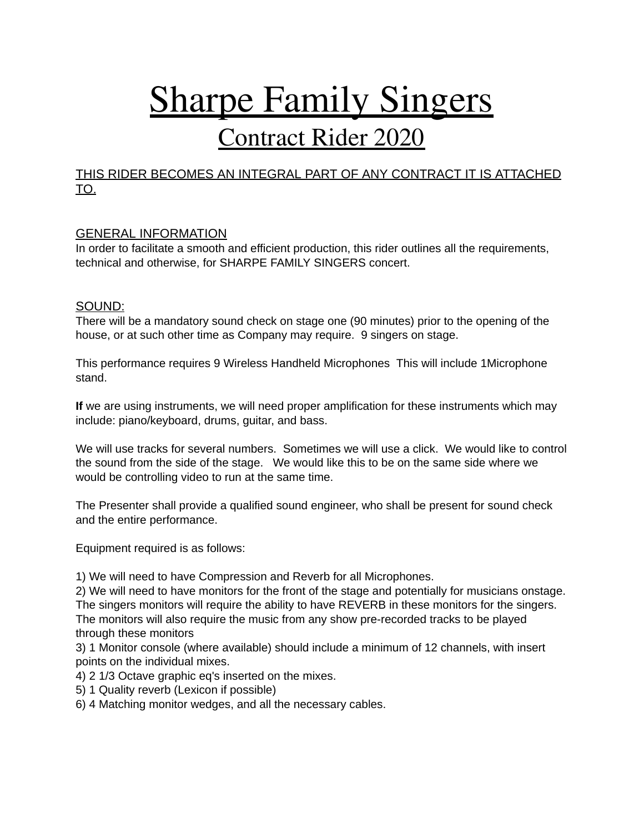# Sharpe Family Singers

# Contract Rider 2020

## THIS RIDER BECOMES AN INTEGRAL PART OF ANY CONTRACT IT IS ATTACHED TO.

### GENERAL INFORMATION

In order to facilitate a smooth and efficient production, this rider outlines all the requirements, technical and otherwise, for SHARPE FAMILY SINGERS concert.

#### SOUND:

There will be a mandatory sound check on stage one (90 minutes) prior to the opening of the house, or at such other time as Company may require. 9 singers on stage.

This performance requires 9 Wireless Handheld Microphones This will include 1Microphone stand.

**If** we are using instruments, we will need proper amplification for these instruments which may include: piano/keyboard, drums, guitar, and bass.

We will use tracks for several numbers. Sometimes we will use a click. We would like to control the sound from the side of the stage. We would like this to be on the same side where we would be controlling video to run at the same time.

The Presenter shall provide a qualified sound engineer, who shall be present for sound check and the entire performance.

Equipment required is as follows:

1) We will need to have Compression and Reverb for all Microphones.

2) We will need to have monitors for the front of the stage and potentially for musicians onstage. The singers monitors will require the ability to have REVERB in these monitors for the singers. The monitors will also require the music from any show pre-recorded tracks to be played through these monitors

3) 1 Monitor console (where available) should include a minimum of 12 channels, with insert points on the individual mixes.

4) 2 1/3 Octave graphic eq's inserted on the mixes.

5) 1 Quality reverb (Lexicon if possible)

6) 4 Matching monitor wedges, and all the necessary cables.